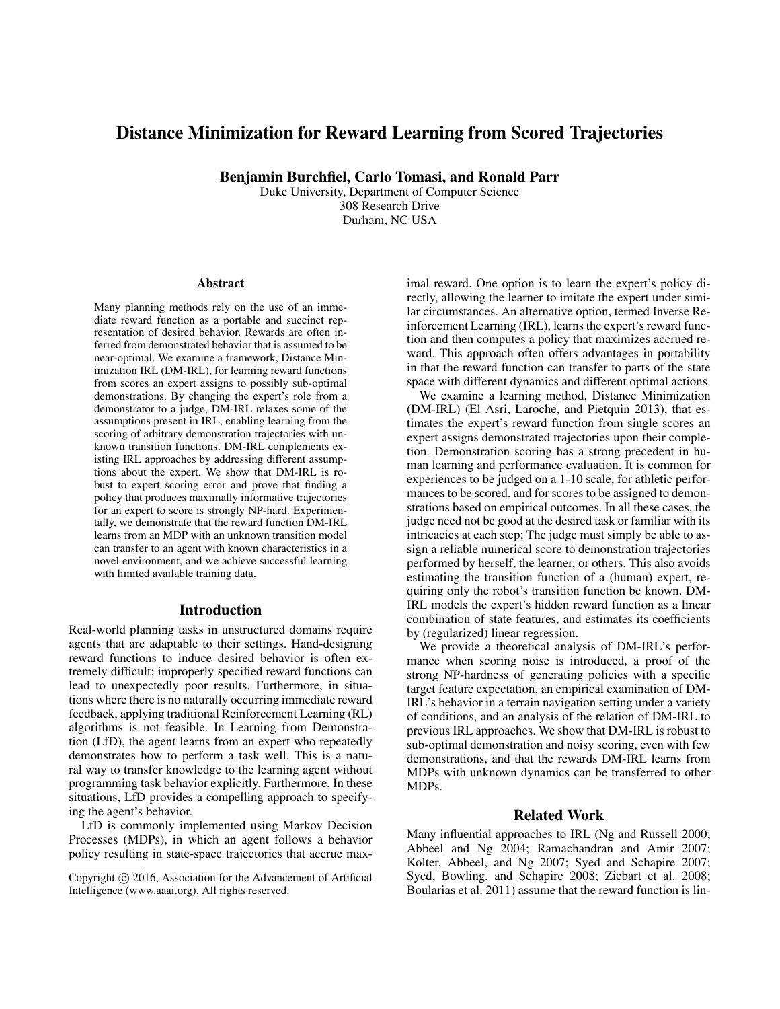# Distance Minimization for Reward Learning from Scored Trajectories

Benjamin Burchfiel, Carlo Tomasi, and Ronald Parr

Duke University, Department of Computer Science 308 Research Drive Durham, NC USA

#### Abstract

Many planning methods rely on the use of an immediate reward function as a portable and succinct representation of desired behavior. Rewards are often inferred from demonstrated behavior that is assumed to be near-optimal. We examine a framework, Distance Minimization IRL (DM-IRL), for learning reward functions from scores an expert assigns to possibly sub-optimal demonstrations. By changing the expert's role from a demonstrator to a judge, DM-IRL relaxes some of the assumptions present in IRL, enabling learning from the scoring of arbitrary demonstration trajectories with unknown transition functions. DM-IRL complements existing IRL approaches by addressing different assumptions about the expert. We show that DM-IRL is robust to expert scoring error and prove that finding a policy that produces maximally informative trajectories for an expert to score is strongly NP-hard. Experimentally, we demonstrate that the reward function DM-IRL learns from an MDP with an unknown transition model can transfer to an agent with known characteristics in a novel environment, and we achieve successful learning with limited available training data.

#### Introduction

Real-world planning tasks in unstructured domains require agents that are adaptable to their settings. Hand-designing reward functions to induce desired behavior is often extremely difficult; improperly specified reward functions can lead to unexpectedly poor results. Furthermore, in situations where there is no naturally occurring immediate reward feedback, applying traditional Reinforcement Learning (RL) algorithms is not feasible. In Learning from Demonstration (LfD), the agent learns from an expert who repeatedly demonstrates how to perform a task well. This is a natural way to transfer knowledge to the learning agent without programming task behavior explicitly. Furthermore, In these situations, LfD provides a compelling approach to specifying the agent's behavior.

LfD is commonly implemented using Markov Decision Processes (MDPs), in which an agent follows a behavior policy resulting in state-space trajectories that accrue maximal reward. One option is to learn the expert's policy directly, allowing the learner to imitate the expert under similar circumstances. An alternative option, termed Inverse Reinforcement Learning (IRL), learns the expert's reward function and then computes a policy that maximizes accrued reward. This approach often offers advantages in portability in that the reward function can transfer to parts of the state space with different dynamics and different optimal actions.

We examine a learning method, Distance Minimization (DM-IRL) (El Asri, Laroche, and Pietquin 2013), that estimates the expert's reward function from single scores an expert assigns demonstrated trajectories upon their completion. Demonstration scoring has a strong precedent in human learning and performance evaluation. It is common for experiences to be judged on a 1-10 scale, for athletic performances to be scored, and for scores to be assigned to demonstrations based on empirical outcomes. In all these cases, the judge need not be good at the desired task or familiar with its intricacies at each step; The judge must simply be able to assign a reliable numerical score to demonstration trajectories performed by herself, the learner, or others. This also avoids estimating the transition function of a (human) expert, requiring only the robot's transition function be known. DM-IRL models the expert's hidden reward function as a linear combination of state features, and estimates its coefficients by (regularized) linear regression.

We provide a theoretical analysis of DM-IRL's performance when scoring noise is introduced, a proof of the strong NP-hardness of generating policies with a specific target feature expectation, an empirical examination of DM-IRL's behavior in a terrain navigation setting under a variety of conditions, and an analysis of the relation of DM-IRL to previous IRL approaches. We show that DM-IRL is robust to sub-optimal demonstration and noisy scoring, even with few demonstrations, and that the rewards DM-IRL learns from MDPs with unknown dynamics can be transferred to other MDPs.

#### Related Work

Many influential approaches to IRL (Ng and Russell 2000; Abbeel and Ng 2004; Ramachandran and Amir 2007; Kolter, Abbeel, and Ng 2007; Syed and Schapire 2007; Syed, Bowling, and Schapire 2008; Ziebart et al. 2008; Boularias et al. 2011) assume that the reward function is lin-

Copyright (c) 2016, Association for the Advancement of Artificial Intelligence (www.aaai.org). All rights reserved.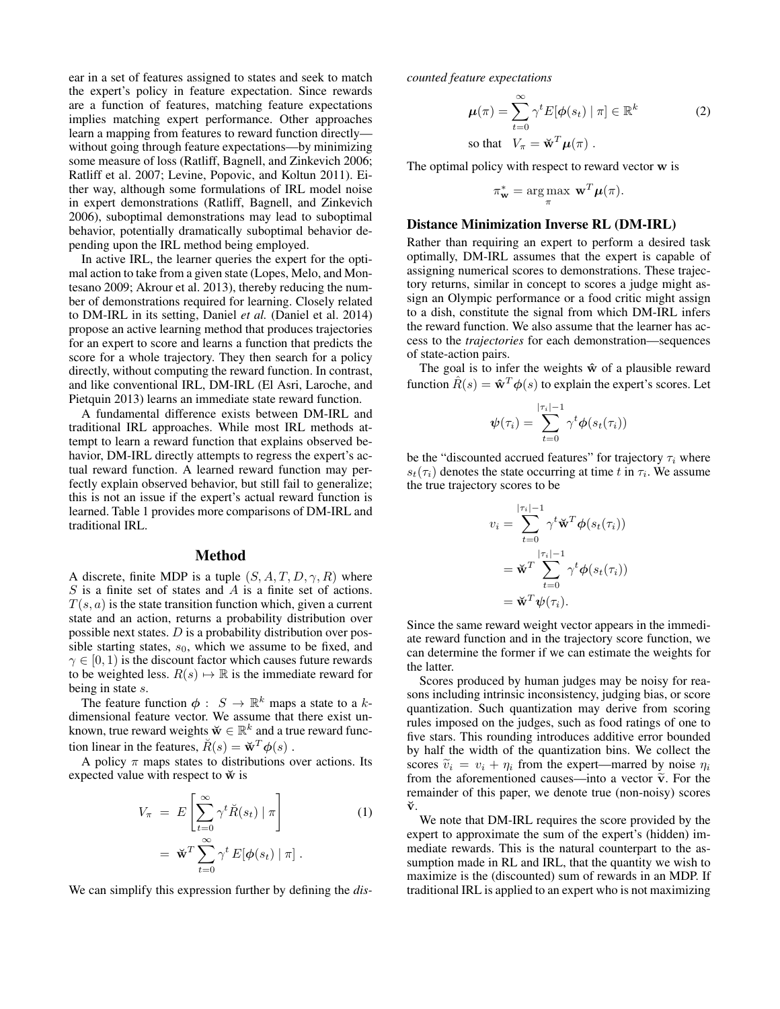ear in a set of features assigned to states and seek to match the expert's policy in feature expectation. Since rewards are a function of features, matching feature expectations implies matching expert performance. Other approaches learn a mapping from features to reward function directly without going through feature expectations—by minimizing some measure of loss (Ratliff, Bagnell, and Zinkevich 2006; Ratliff et al. 2007; Levine, Popovic, and Koltun 2011). Either way, although some formulations of IRL model noise in expert demonstrations (Ratliff, Bagnell, and Zinkevich 2006), suboptimal demonstrations may lead to suboptimal behavior, potentially dramatically suboptimal behavior depending upon the IRL method being employed.

In active IRL, the learner queries the expert for the optimal action to take from a given state (Lopes, Melo, and Montesano 2009; Akrour et al. 2013), thereby reducing the number of demonstrations required for learning. Closely related to DM-IRL in its setting, Daniel *et al.* (Daniel et al. 2014) propose an active learning method that produces trajectories for an expert to score and learns a function that predicts the score for a whole trajectory. They then search for a policy directly, without computing the reward function. In contrast, and like conventional IRL, DM-IRL (El Asri, Laroche, and Pietquin 2013) learns an immediate state reward function.

A fundamental difference exists between DM-IRL and traditional IRL approaches. While most IRL methods attempt to learn a reward function that explains observed behavior, DM-IRL directly attempts to regress the expert's actual reward function. A learned reward function may perfectly explain observed behavior, but still fail to generalize; this is not an issue if the expert's actual reward function is learned. Table 1 provides more comparisons of DM-IRL and traditional IRL.

#### Method

A discrete, finite MDP is a tuple  $(S, A, T, D, \gamma, R)$  where  $S$  is a finite set of states and  $A$  is a finite set of actions.  $T(s, a)$  is the state transition function which, given a current state and an action, returns a probability distribution over possible next states.  $D$  is a probability distribution over possible starting states,  $s_0$ , which we assume to be fixed, and  $\gamma \in [0, 1)$  is the discount factor which causes future rewards to be weighted less.  $R(s) \mapsto \mathbb{R}$  is the immediate reward for being in state s.

The feature function  $\phi : S \to \mathbb{R}^k$  maps a state to a kdimensional feature vector. We assume that there exist unknown, true reward weights  $\breve{\mathbf{w}} \in \mathbb{R}^k$  and a true reward function linear in the features,  $\breve{R}(s) = \breve{\mathbf{w}}^T \boldsymbol{\phi}(s)$ .

A policy  $\pi$  maps states to distributions over actions. Its expected value with respect to  $\breve{w}$  is

$$
V_{\pi} = E\left[\sum_{t=0}^{\infty} \gamma^{t} \breve{R}(s_{t}) | \pi\right]
$$
  
=  $\breve{w}^{T} \sum_{t=0}^{\infty} \gamma^{t} E[\phi(s_{t}) | \pi].$  (1)

We can simplify this expression further by defining the *dis-*

*counted feature expectations*

$$
\mu(\pi) = \sum_{t=0}^{\infty} \gamma^t E[\phi(s_t) | \pi] \in \mathbb{R}^k
$$
  
so that  $V_{\pi} = \check{\mathbf{w}}^T \mu(\pi)$ . (2)

The optimal policy with respect to reward vector w is

$$
\pi_{\mathbf{w}}^* = \arg \max_{\pi} \mathbf{w}^T \boldsymbol{\mu}(\pi).
$$

### Distance Minimization Inverse RL (DM-IRL)

Rather than requiring an expert to perform a desired task optimally, DM-IRL assumes that the expert is capable of assigning numerical scores to demonstrations. These trajectory returns, similar in concept to scores a judge might assign an Olympic performance or a food critic might assign to a dish, constitute the signal from which DM-IRL infers the reward function. We also assume that the learner has access to the *trajectories* for each demonstration—sequences of state-action pairs.

The goal is to infer the weights  $\hat{w}$  of a plausible reward function  $\hat{R}(s) = \hat{\mathbf{w}}^T \phi(s)$  to explain the expert's scores. Let

$$
\boldsymbol{\psi}(\tau_i) = \sum_{t=0}^{|\tau_i|-1} \gamma^t \boldsymbol{\phi}(s_t(\tau_i))
$$

be the "discounted accrued features" for trajectory  $\tau_i$  where  $s_t(\tau_i)$  denotes the state occurring at time t in  $\tau_i$ . We assume the true trajectory scores to be

$$
v_i = \sum_{t=0}^{|\tau_i|-1} \gamma^t \breve{\mathbf{w}}^T \phi(s_t(\tau_i))
$$
  
= 
$$
\breve{\mathbf{w}}^T \sum_{t=0}^{|\tau_i|-1} \gamma^t \phi(s_t(\tau_i))
$$
  
= 
$$
\breve{\mathbf{w}}^T \psi(\tau_i).
$$

Since the same reward weight vector appears in the immediate reward function and in the trajectory score function, we can determine the former if we can estimate the weights for the latter.

Scores produced by human judges may be noisy for reasons including intrinsic inconsistency, judging bias, or score quantization. Such quantization may derive from scoring rules imposed on the judges, such as food ratings of one to five stars. This rounding introduces additive error bounded by half the width of the quantization bins. We collect the scores  $\tilde{v}_i = v_i + \eta_i$  from the expert—marred by noise  $\eta_i$ from the aforementioned causes—into a vector  $\tilde{v}$ . For the remainder of this paper, we denote true (non-noisy) scores ˘v.

We note that DM-IRL requires the score provided by the expert to approximate the sum of the expert's (hidden) immediate rewards. This is the natural counterpart to the assumption made in RL and IRL, that the quantity we wish to maximize is the (discounted) sum of rewards in an MDP. If traditional IRL is applied to an expert who is not maximizing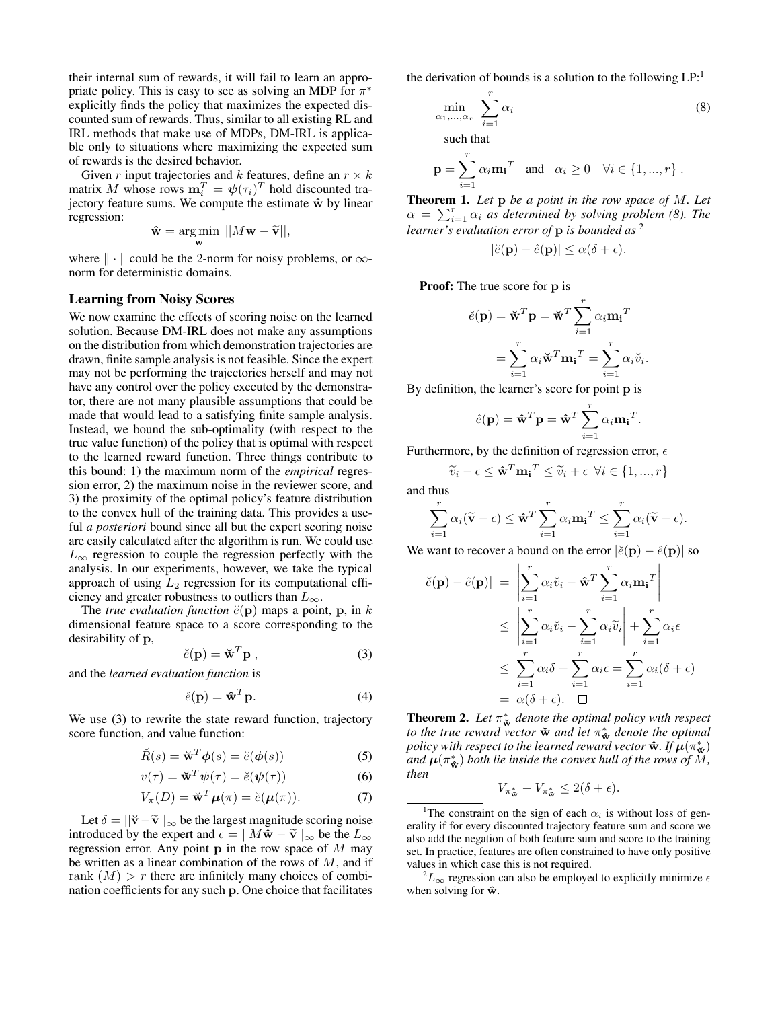their internal sum of rewards, it will fail to learn an appropriate policy. This is easy to see as solving an MDP for  $\pi^*$ explicitly finds the policy that maximizes the expected discounted sum of rewards. Thus, similar to all existing RL and IRL methods that make use of MDPs, DM-IRL is applicable only to situations where maximizing the expected sum of rewards is the desired behavior.

Given r input trajectories and k features, define an  $r \times k$ matrix M whose rows  $\mathbf{m}_i^T = \boldsymbol{\psi}(\tau_i)^T$  hold discounted trajectory feature sums. We compute the estimate  $\hat{w}$  by linear regression:

$$
\hat{\mathbf{w}} = \underset{\mathbf{w}}{\arg\min} \, ||M\mathbf{w} - \tilde{\mathbf{v}}||,
$$

where  $\| \cdot \|$  could be the 2-norm for noisy problems, or  $\infty$ norm for deterministic domains.

#### Learning from Noisy Scores

We now examine the effects of scoring noise on the learned solution. Because DM-IRL does not make any assumptions on the distribution from which demonstration trajectories are drawn, finite sample analysis is not feasible. Since the expert may not be performing the trajectories herself and may not have any control over the policy executed by the demonstrator, there are not many plausible assumptions that could be made that would lead to a satisfying finite sample analysis. Instead, we bound the sub-optimality (with respect to the true value function) of the policy that is optimal with respect to the learned reward function. Three things contribute to this bound: 1) the maximum norm of the *empirical* regression error, 2) the maximum noise in the reviewer score, and 3) the proximity of the optimal policy's feature distribution to the convex hull of the training data. This provides a useful *a posteriori* bound since all but the expert scoring noise are easily calculated after the algorithm is run. We could use  $L_{\infty}$  regression to couple the regression perfectly with the analysis. In our experiments, however, we take the typical approach of using  $L_2$  regression for its computational efficiency and greater robustness to outliers than  $L_{\infty}$ .

The *true evaluation function*  $\check{e}(\mathbf{p})$  maps a point, **p**, in k dimensional feature space to a score corresponding to the desirability of p,

$$
\breve{e}(\mathbf{p}) = \breve{\mathbf{w}}^T \mathbf{p} \,, \tag{3}
$$

and the *learned evaluation function* is

$$
\hat{e}(\mathbf{p}) = \hat{\mathbf{w}}^T \mathbf{p}.\tag{4}
$$

We use (3) to rewrite the state reward function, trajectory score function, and value function:

$$
\breve{R}(s) = \breve{\mathbf{w}}^T \boldsymbol{\phi}(s) = \breve{e}(\boldsymbol{\phi}(s))
$$
 (5)

$$
v(\tau) = \mathbf{\breve{w}}^T \boldsymbol{\psi}(\tau) = \breve{e}(\boldsymbol{\psi}(\tau))
$$
 (6)

$$
V_{\pi}(D) = \mathbf{\breve{w}}^T \boldsymbol{\mu}(\pi) = \breve{e}(\boldsymbol{\mu}(\pi)). \tag{7}
$$

Let  $\delta = ||\mathbf{\tilde{v}} - \mathbf{\tilde{v}}||_{\infty}$  be the largest magnitude scoring noise introduced by the expert and  $\epsilon = ||M\hat{\mathbf{w}} - \tilde{\mathbf{v}}||_{\infty}$  be the  $L_{\infty}$ regression error. Any point  $p$  in the row space of  $M$  may be written as a linear combination of the rows of  $M$ , and if rank  $(M) > r$  there are infinitely many choices of combination coefficients for any such p. One choice that facilitates

the derivation of bounds is a solution to the following  $LP<sup>1</sup>$ .

$$
\min_{\alpha_1,\dots,\alpha_r} \sum_{i=1}^r \alpha_i
$$
\nsuch that

$$
\mathbf{p} = \sum_{i=1}^{r} \alpha_i \mathbf{m_i}^T \quad \text{and} \quad \alpha_i \ge 0 \quad \forall i \in \{1, ..., r\} .
$$

Theorem 1. *Let* p *be a point in the row space of* M*. Let*  $\alpha = \sum_{i=1}^r \alpha_i$  *as determined by solving problem (8). The learner's evaluation error of* p *is bounded as* <sup>2</sup>

$$
|\breve{e}(\mathbf{p}) - \hat{e}(\mathbf{p})| \le \alpha(\delta + \epsilon).
$$

Proof: The true score for p is

$$
\breve{e}(\mathbf{p}) = \breve{\mathbf{w}}^T \mathbf{p} = \breve{\mathbf{w}}^T \sum_{i=1}^r \alpha_i \mathbf{m_i}^T
$$

$$
= \sum_{i=1}^r \alpha_i \breve{\mathbf{w}}^T \mathbf{m_i}^T = \sum_{i=1}^r \alpha_i \breve{v}_i
$$

.

By definition, the learner's score for point p is

$$
\hat{e}(\mathbf{p}) = \hat{\mathbf{w}}^T \mathbf{p} = \hat{\mathbf{w}}^T \sum_{i=1}^r \alpha_i \mathbf{m_i}^T.
$$

Furthermore, by the definition of regression error,  $\epsilon$ 

$$
\widetilde{v}_i - \epsilon \leq \hat{\mathbf{w}}^T \mathbf{m_i}^T \leq \widetilde{v}_i + \epsilon \ \forall i \in \{1, ..., r\}
$$

and thus

$$
\sum_{i=1}^r \alpha_i(\widetilde{\mathbf{v}} - \epsilon) \leq \hat{\mathbf{w}}^T \sum_{i=1}^r \alpha_i \mathbf{m_i}^T \leq \sum_{i=1}^r \alpha_i(\widetilde{\mathbf{v}} + \epsilon).
$$

We want to recover a bound on the error  $|\check{e}(\mathbf{p}) - \hat{e}(\mathbf{p})|$  so

$$
|\check{e}(\mathbf{p}) - \hat{e}(\mathbf{p})| = \left| \sum_{i=1}^{r} \alpha_i \check{v}_i - \hat{\mathbf{w}}^T \sum_{i=1}^{r} \alpha_i \mathbf{m_i}^T \right|
$$
  
\n
$$
\leq \left| \sum_{i=1}^{r} \alpha_i \check{v}_i - \sum_{i=1}^{r} \alpha_i \widetilde{v}_i \right| + \sum_{i=1}^{r} \alpha_i \epsilon
$$
  
\n
$$
\leq \sum_{i=1}^{r} \alpha_i \delta + \sum_{i=1}^{r} \alpha_i \epsilon = \sum_{i=1}^{r} \alpha_i (\delta + \epsilon)
$$
  
\n
$$
= \alpha(\delta + \epsilon). \quad \Box
$$

**Theorem 2.** Let  $\pi^*_{\tilde{\mathbf{w}}}$  denote the optimal policy with respect to the true reward vector  $\breve{w}$  and let  $\pi^*_{\hat{w}}$  *denote the optimal* policy with respect to the learned reward vector  $\hat{\mathrm{w}}$ . If  $\hat{\mu}(\pi^*_{\breve{\mathrm{w}}})$ and  $\mu(\pi^*_{\hat{\mathbf{w}}})$  both lie inside the convex hull of the rows of  $\check{M}$ , *then*

$$
V_{\pi_{\tilde{\mathbf{w}}}^*} - V_{\pi_{\tilde{\mathbf{w}}}^*} \leq 2(\delta + \epsilon).
$$

<sup>&</sup>lt;sup>1</sup>The constraint on the sign of each  $\alpha_i$  is without loss of generality if for every discounted trajectory feature sum and score we also add the negation of both feature sum and score to the training set. In practice, features are often constrained to have only positive values in which case this is not required.

 ${}^{2}L_{\infty}$  regression can also be employed to explicitly minimize  $\epsilon$ when solving for  $\hat{\mathbf{w}}$ .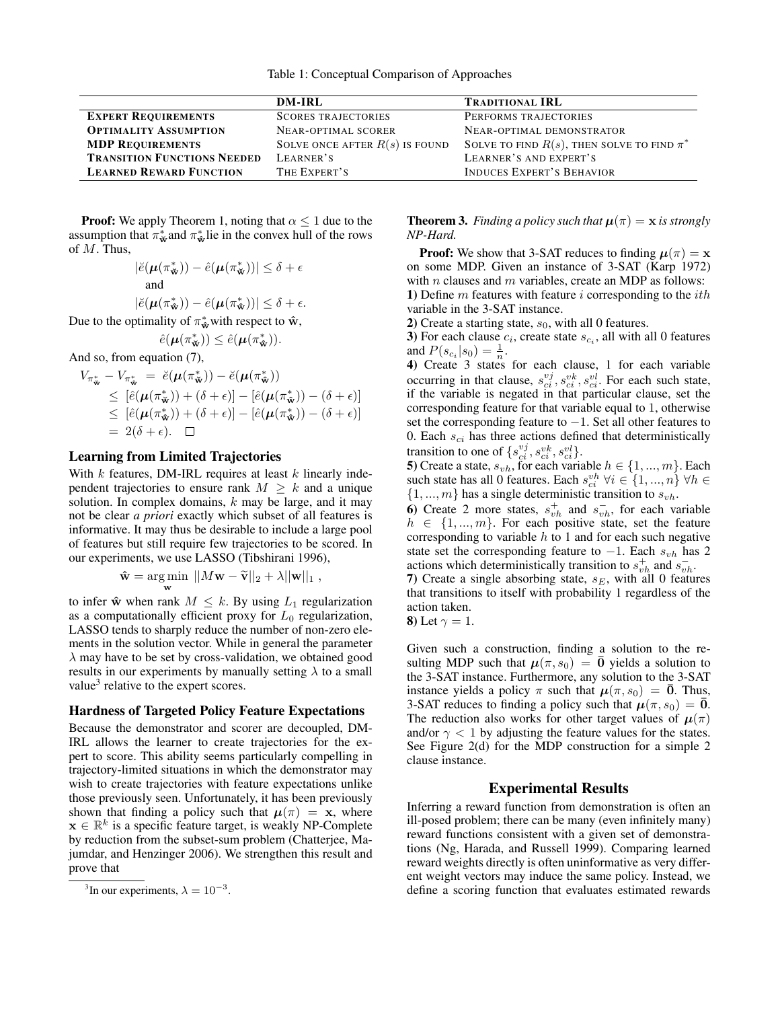|                                    | DM-IRL                           | <b>TRADITIONAL IRL</b>                            |
|------------------------------------|----------------------------------|---------------------------------------------------|
| <b>EXPERT REQUIREMENTS</b>         | <b>SCORES TRAJECTORIES</b>       | PERFORMS TRAJECTORIES                             |
| <b>OPTIMALITY ASSUMPTION</b>       | <b>NEAR-OPTIMAL SCORER</b>       | NEAR-OPTIMAL DEMONSTRATOR                         |
| <b>MDP REQUIREMENTS</b>            | SOLVE ONCE AFTER $R(s)$ is found | SOLVE TO FIND $R(s)$ , THEN SOLVE TO FIND $\pi^*$ |
| <b>TRANSITION FUNCTIONS NEEDED</b> | LEARNER'S                        | LEARNER'S AND EXPERT'S                            |
| <b>LEARNED REWARD FUNCTION</b>     | THE EXPERT'S                     | <b>INDUCES EXPERT'S BEHAVIOR</b>                  |

**Proof:** We apply Theorem 1, noting that  $\alpha \leq 1$  due to the assumption that  $\pi^*_{\mathbf{w}}$  and  $\pi^*_{\mathbf{w}}$  lie in the convex hull of the rows of  $M$ . Thus,

$$
\begin{aligned} |\breve{e}(\pmb{\mu}(\pi_{\breve{\mathbf{w}}}^*)) - \hat{e}(\pmb{\mu}(\pi_{\breve{\mathbf{w}}}^*))| \leq \delta + \epsilon \\ & \text{and} \\ |\breve{e}(\pmb{\mu}(\pi_{\hat{\mathbf{w}}}^*)) - \hat{e}(\pmb{\mu}(\pi_{\hat{\mathbf{w}}}^*))| \leq \delta + \epsilon. \end{aligned}
$$

Due to the optimality of  $\pi^*_{\hat{\mathbf{w}}}$  with respect to  $\hat{\mathbf{w}}$ ,

$$
\hat{e}(\mu(\pi_{\tilde{\mathbf{w}}}^*)) \leq \hat{e}(\mu(\pi_{\hat{\mathbf{w}}}^*)).
$$

And so, from equation (7),

$$
V_{\pi_{\mathbf{w}}^*} - V_{\pi_{\mathbf{w}}^*} = \breve{e}(\mu(\pi_{\mathbf{w}}^*)) - \breve{e}(\mu(\pi_{\mathbf{w}}^*))
$$
  
\n
$$
\leq [\hat{e}(\mu(\pi_{\mathbf{w}}^*)) + (\delta + \epsilon)] - [\hat{e}(\mu(\pi_{\mathbf{w}}^*)) - (\delta + \epsilon)]
$$
  
\n
$$
\leq [\hat{e}(\mu(\pi_{\mathbf{w}}^*)) + (\delta + \epsilon)] - [\hat{e}(\mu(\pi_{\mathbf{w}}^*)) - (\delta + \epsilon)]
$$
  
\n
$$
= 2(\delta + \epsilon). \quad \Box
$$

#### Learning from Limited Trajectories

With  $k$  features, DM-IRL requires at least  $k$  linearly independent trajectories to ensure rank  $M > k$  and a unique solution. In complex domains,  $k$  may be large, and it may not be clear *a priori* exactly which subset of all features is informative. It may thus be desirable to include a large pool of features but still require few trajectories to be scored. In our experiments, we use LASSO (Tibshirani 1996),

$$
\mathbf{\hat{w}} = \underset{\mathbf{w}}{\arg\min} \ \vert\vert M\mathbf{w} - \widetilde{\mathbf{v}} \vert\vert_2 + \lambda \vert\vert \mathbf{w} \vert\vert_1 \;,
$$

to infer  $\hat{\mathbf{w}}$  when rank  $M \leq k$ . By using  $L_1$  regularization as a computationally efficient proxy for  $L_0$  regularization, LASSO tends to sharply reduce the number of non-zero elements in the solution vector. While in general the parameter  $\lambda$  may have to be set by cross-validation, we obtained good results in our experiments by manually setting  $\lambda$  to a small value<sup>3</sup> relative to the expert scores.

#### Hardness of Targeted Policy Feature Expectations

Because the demonstrator and scorer are decoupled, DM-IRL allows the learner to create trajectories for the expert to score. This ability seems particularly compelling in trajectory-limited situations in which the demonstrator may wish to create trajectories with feature expectations unlike those previously seen. Unfortunately, it has been previously shown that finding a policy such that  $\mu(\pi) = x$ , where  $\mathbf{x} \in \mathbb{R}^k$  is a specific feature target, is weakly NP-Complete by reduction from the subset-sum problem (Chatterjee, Majumdar, and Henzinger 2006). We strengthen this result and prove that

**Theorem 3.** *Finding a policy such that*  $\mu(\pi) = x$  *is strongly NP-Hard.*

**Proof:** We show that 3-SAT reduces to finding  $\mu(\pi) = x$ on some MDP. Given an instance of 3-SAT (Karp 1972) with  $n$  clauses and  $m$  variables, create an MDP as follows: 1) Define  $m$  features with feature  $i$  corresponding to the  $ith$ variable in the 3-SAT instance.

2) Create a starting state,  $s_0$ , with all 0 features.

3) For each clause  $c_i$ , create state  $s_{c_i}$ , all with all 0 features and  $P(s_{c_i}|s_0) = \frac{1}{n}$ .

4) Create 3 states for each clause, 1 for each variable occurring in that clause,  $s_{ci}^{vj}, s_{ci}^{vk}, s_{ci}^{vl}$ . For each such state, if the variable is negated in that particular clause, set the corresponding feature for that variable equal to 1, otherwise set the corresponding feature to  $-1$ . Set all other features to 0. Each  $s_{ci}$  has three actions defined that deterministically transition to one of  $\{s_{ci}^{vj}, s_{ci}^{vk}, s_{ci}^{vl}\}.$ 

5) Create a state,  $s_{vh}$ , for each variable  $h \in \{1, ..., m\}$ . Each such state has all 0 features. Each  $s_{ci}^{vh} \forall i \in \{1, ..., n\} \forall h \in$  $\{1, ..., m\}$  has a single deterministic transition to  $s_{vh}$ .

6) Create 2 more states,  $s_{vh}^+$  and  $s_{vh}^-$ , for each variable  $h \in \{1, ..., m\}$ . For each positive state, set the feature corresponding to variable  $h$  to 1 and for each such negative state set the corresponding feature to  $-1$ . Each  $s_{vh}$  has 2 actions which deterministically transition to  $s_{vh}^+$  and  $s_{vh}^-$ .

7) Create a single absorbing state,  $s_E$ , with all 0 features that transitions to itself with probability 1 regardless of the action taken.

**8**) Let 
$$
\gamma = 1
$$
.

Given such a construction, finding a solution to the resulting MDP such that  $\mu(\pi, s_0) = \overline{0}$  yields a solution to the 3-SAT instance. Furthermore, any solution to the 3-SAT instance yields a policy  $\pi$  such that  $\mu(\pi, s_0) = \overline{0}$ . Thus, 3-SAT reduces to finding a policy such that  $\mu(\pi, s_0) = 0$ . The reduction also works for other target values of  $\mu(\pi)$ and/or  $\gamma$  < 1 by adjusting the feature values for the states. See Figure 2(d) for the MDP construction for a simple 2 clause instance.

## Experimental Results

Inferring a reward function from demonstration is often an ill-posed problem; there can be many (even infinitely many) reward functions consistent with a given set of demonstrations (Ng, Harada, and Russell 1999). Comparing learned reward weights directly is often uninformative as very different weight vectors may induce the same policy. Instead, we define a scoring function that evaluates estimated rewards

<sup>&</sup>lt;sup>3</sup>In our experiments,  $\lambda = 10^{-3}$ .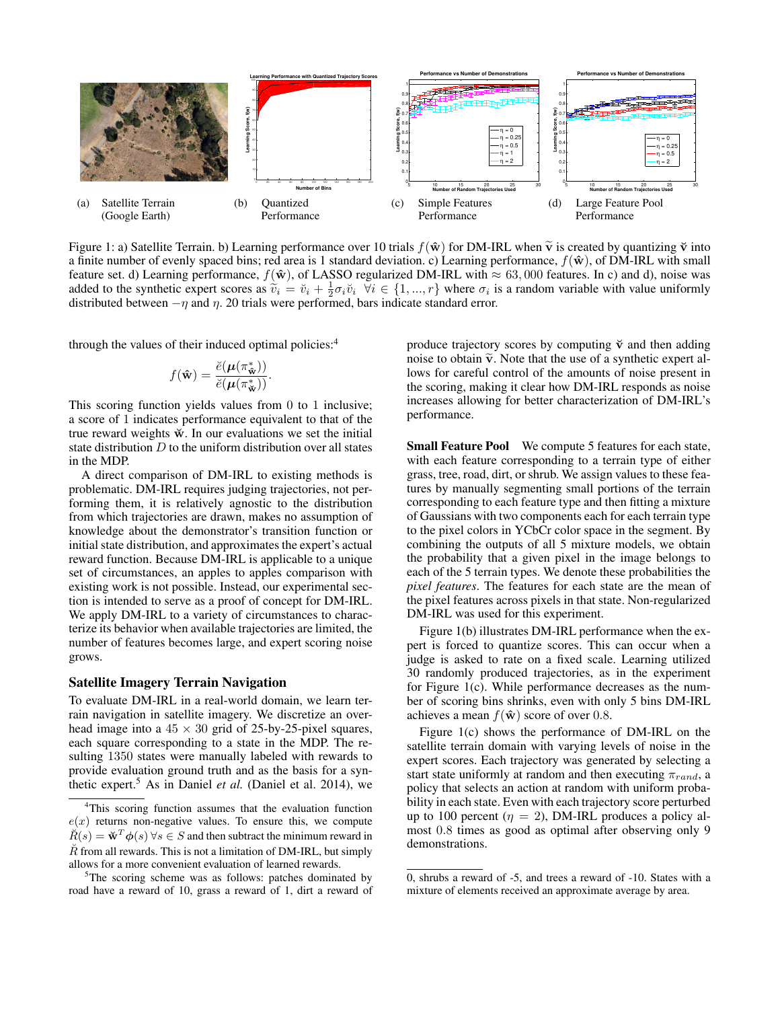

Figure 1: a) Satellite Terrain. b) Learning performance over 10 trials  $f(\hat{\mathbf{w}})$  for DM-IRL when  $\tilde{\mathbf{v}}$  is created by quantizing  $\check{\mathbf{v}}$  into a finite number of evenly spaced bins; red area is 1 standard deviation. c) Learning performance,  $f(\hat{\mathbf{w}})$ , of DM-IRL with small feature set. d) Learning performance,  $f(\hat{\mathbf{w}})$ , of LASSO regularized DM-IRL with  $\approx 63,000$  features. In c) and d), noise was added to the synthetic expert scores as  $\tilde{v}_i = \tilde{v}_i + \frac{1}{2} \sigma_i \tilde{v}_i \quad \forall i \in \{1, ..., r\}$  where  $\sigma_i$  is a random variable with value uniformly distributed between  $-n$  and  $n$  20 trials were performed hars indicate stand distributed between  $-\eta$  and  $\eta$ . 20 trials were performed, bars indicate standard error.

through the values of their induced optimal policies: $4$ 

$$
f(\hat{\mathbf{w}}) = \frac{\breve{e}(\boldsymbol{\mu}(\pi_{\hat{\mathbf{w}}}^*))}{\breve{e}(\boldsymbol{\mu}(\pi_{\hat{\mathbf{w}}}^*))}.
$$

This scoring function yields values from 0 to 1 inclusive; a score of 1 indicates performance equivalent to that of the true reward weights  $\breve{w}$ . In our evaluations we set the initial state distribution  $D$  to the uniform distribution over all states in the MDP.

A direct comparison of DM-IRL to existing methods is problematic. DM-IRL requires judging trajectories, not performing them, it is relatively agnostic to the distribution from which trajectories are drawn, makes no assumption of knowledge about the demonstrator's transition function or initial state distribution, and approximates the expert's actual reward function. Because DM-IRL is applicable to a unique set of circumstances, an apples to apples comparison with existing work is not possible. Instead, our experimental section is intended to serve as a proof of concept for DM-IRL. We apply DM-IRL to a variety of circumstances to characterize its behavior when available trajectories are limited, the number of features becomes large, and expert scoring noise grows.

#### Satellite Imagery Terrain Navigation

To evaluate DM-IRL in a real-world domain, we learn terrain navigation in satellite imagery. We discretize an overhead image into a  $45 \times 30$  grid of 25-by-25-pixel squares, each square corresponding to a state in the MDP. The resulting 1350 states were manually labeled with rewards to provide evaluation ground truth and as the basis for a synthetic expert.<sup>5</sup> As in Daniel *et al.* (Daniel et al. 2014), we produce trajectory scores by computing  $\check{v}$  and then adding noise to obtain  $\tilde{v}$ . Note that the use of a synthetic expert allows for careful control of the amounts of noise present in the scoring, making it clear how DM-IRL responds as noise increases allowing for better characterization of DM-IRL's performance.

Small Feature Pool We compute 5 features for each state, with each feature corresponding to a terrain type of either grass, tree, road, dirt, or shrub. We assign values to these features by manually segmenting small portions of the terrain corresponding to each feature type and then fitting a mixture of Gaussians with two components each for each terrain type to the pixel colors in YCbCr color space in the segment. By combining the outputs of all 5 mixture models, we obtain the probability that a given pixel in the image belongs to each of the 5 terrain types. We denote these probabilities the *pixel features*. The features for each state are the mean of the pixel features across pixels in that state. Non-regularized DM-IRL was used for this experiment.

Figure 1(b) illustrates DM-IRL performance when the expert is forced to quantize scores. This can occur when a judge is asked to rate on a fixed scale. Learning utilized 30 randomly produced trajectories, as in the experiment for Figure 1(c). While performance decreases as the number of scoring bins shrinks, even with only 5 bins DM-IRL achieves a mean  $f(\hat{\mathbf{w}})$  score of over 0.8.

Figure 1(c) shows the performance of DM-IRL on the satellite terrain domain with varying levels of noise in the expert scores. Each trajectory was generated by selecting a start state uniformly at random and then executing  $\pi_{rand}$ , a policy that selects an action at random with uniform probability in each state. Even with each trajectory score perturbed up to 100 percent ( $\eta = 2$ ), DM-IRL produces a policy almost 0.8 times as good as optimal after observing only 9 demonstrations.

<sup>&</sup>lt;sup>4</sup>This scoring function assumes that the evaluation function  $e(x)$  returns non-negative values. To ensure this, we compute  $\breve{R}(s) = \breve{w}^T \phi(s)$   $\forall s \in S$  and then subtract the minimum reward in  $\check{R}$  from all rewards. This is not a limitation of DM-IRL, but simply allows for a more convenient evaluation of learned rewards.

<sup>&</sup>lt;sup>5</sup>The scoring scheme was as follows: patches dominated by road have a reward of 10, grass a reward of 1, dirt a reward of

<sup>0,</sup> shrubs a reward of -5, and trees a reward of -10. States with a mixture of elements received an approximate average by area.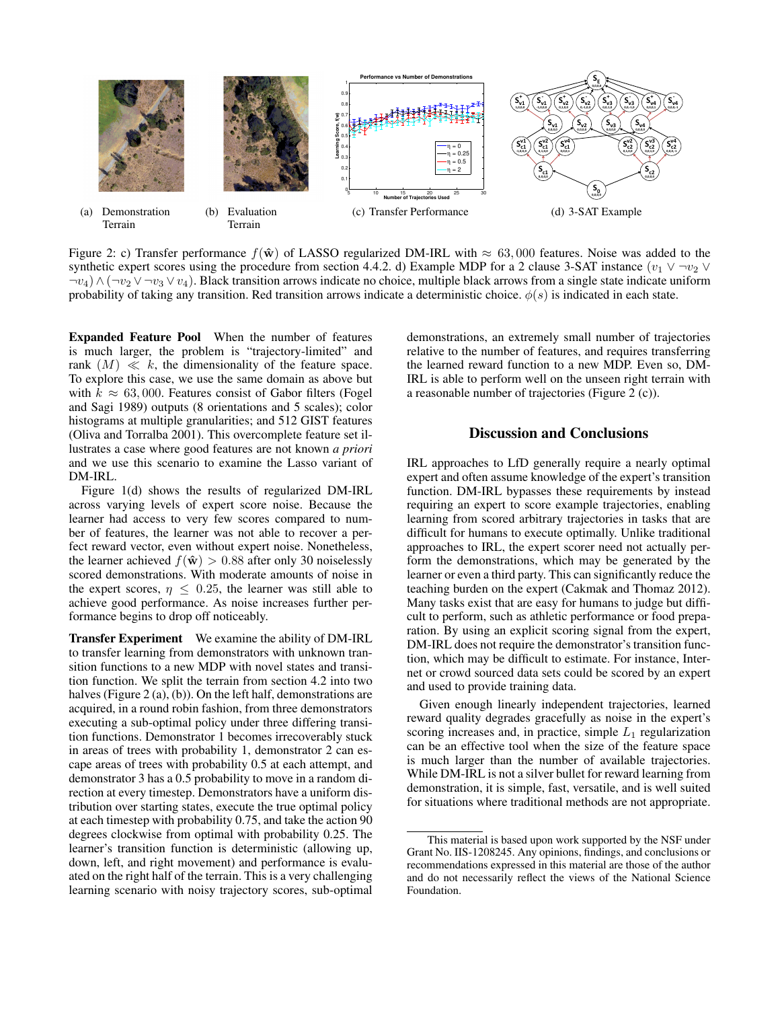

Figure 2: c) Transfer performance  $f(\hat{\mathbf{w}})$  of LASSO regularized DM-IRL with  $\approx 63,000$  features. Noise was added to the synthetic expert scores using the procedure from section 4.4.2. d) Example MDP for a 2 clause 3-SAT instance  $(v_1 \vee \neg v_2 \vee \neg v_3 \vee \neg v_4 \vee \neg v_5 \vee \neg v_6 \vee \neg v_7 \vee \neg v_8 \vee \neg v_9 \vee \neg v_1 \vee \neg v_2 \vee \neg v_3 \vee \neg v_4 \vee \neg v_5 \vee \$  $\neg v_4$ )  $\wedge (\neg v_2 \vee \neg v_3 \vee v_4)$ . Black transition arrows indicate no choice, multiple black arrows from a single state indicate uniform probability of taking any transition. Red transition arrows indicate a deterministic choice.  $\phi(s)$  is indicated in each state.

Expanded Feature Pool When the number of features is much larger, the problem is "trajectory-limited" and rank  $(M) \ll k$ , the dimensionality of the feature space. To explore this case, we use the same domain as above but with  $k \approx 63,000$ . Features consist of Gabor filters (Fogel and Sagi 1989) outputs (8 orientations and 5 scales); color histograms at multiple granularities; and 512 GIST features (Oliva and Torralba 2001). This overcomplete feature set illustrates a case where good features are not known *a priori* and we use this scenario to examine the Lasso variant of DM-IRL.

Figure 1(d) shows the results of regularized DM-IRL across varying levels of expert score noise. Because the learner had access to very few scores compared to number of features, the learner was not able to recover a perfect reward vector, even without expert noise. Nonetheless, the learner achieved  $f(\hat{\mathbf{w}}) > 0.88$  after only 30 noiselessly scored demonstrations. With moderate amounts of noise in the expert scores,  $\eta \leq 0.25$ , the learner was still able to achieve good performance. As noise increases further performance begins to drop off noticeably.

Transfer Experiment We examine the ability of DM-IRL to transfer learning from demonstrators with unknown transition functions to a new MDP with novel states and transition function. We split the terrain from section 4.2 into two halves (Figure 2 (a), (b)). On the left half, demonstrations are acquired, in a round robin fashion, from three demonstrators executing a sub-optimal policy under three differing transition functions. Demonstrator 1 becomes irrecoverably stuck in areas of trees with probability 1, demonstrator 2 can escape areas of trees with probability 0.5 at each attempt, and demonstrator 3 has a 0.5 probability to move in a random direction at every timestep. Demonstrators have a uniform distribution over starting states, execute the true optimal policy at each timestep with probability 0.75, and take the action 90 degrees clockwise from optimal with probability 0.25. The learner's transition function is deterministic (allowing up, down, left, and right movement) and performance is evaluated on the right half of the terrain. This is a very challenging learning scenario with noisy trajectory scores, sub-optimal demonstrations, an extremely small number of trajectories relative to the number of features, and requires transferring the learned reward function to a new MDP. Even so, DM-IRL is able to perform well on the unseen right terrain with a reasonable number of trajectories (Figure 2 (c)).

#### Discussion and Conclusions

IRL approaches to LfD generally require a nearly optimal expert and often assume knowledge of the expert's transition function. DM-IRL bypasses these requirements by instead requiring an expert to score example trajectories, enabling learning from scored arbitrary trajectories in tasks that are difficult for humans to execute optimally. Unlike traditional approaches to IRL, the expert scorer need not actually perform the demonstrations, which may be generated by the learner or even a third party. This can significantly reduce the teaching burden on the expert (Cakmak and Thomaz 2012). Many tasks exist that are easy for humans to judge but difficult to perform, such as athletic performance or food preparation. By using an explicit scoring signal from the expert, DM-IRL does not require the demonstrator's transition function, which may be difficult to estimate. For instance, Internet or crowd sourced data sets could be scored by an expert and used to provide training data.

Given enough linearly independent trajectories, learned reward quality degrades gracefully as noise in the expert's scoring increases and, in practice, simple  $L_1$  regularization can be an effective tool when the size of the feature space is much larger than the number of available trajectories. While DM-IRL is not a silver bullet for reward learning from demonstration, it is simple, fast, versatile, and is well suited for situations where traditional methods are not appropriate.

This material is based upon work supported by the NSF under Grant No. IIS-1208245. Any opinions, findings, and conclusions or recommendations expressed in this material are those of the author and do not necessarily reflect the views of the National Science Foundation.